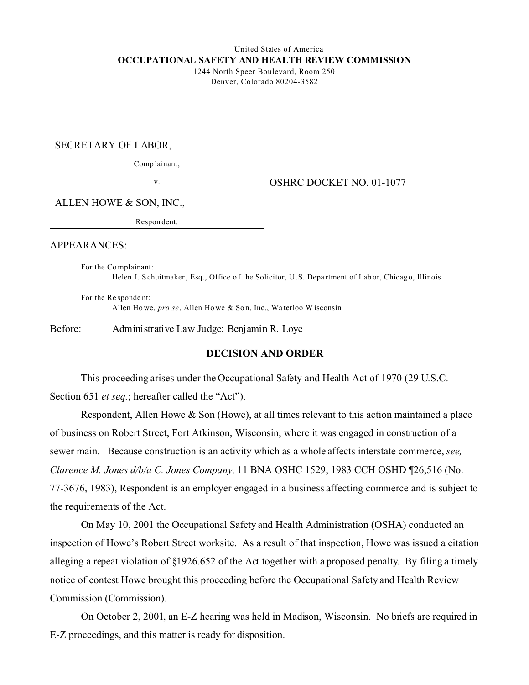#### United States of America **OCCUPATIONAL SAFETY AND HEALTH REVIEW COMMISSION** 1244 North Speer Boulevard, Room 250

Denver, Colorado 80204-3582

SECRETARY OF LABOR,

Comp lainant,

v.

OSHRC DOCKET NO. 01-1077

ALLEN HOWE & SON, INC.,

Respon dent.

APPEARANCES:

For the Co mplainant: Helen J. S chuitmaker, Esq., Office of the Solicitor, U.S. Department of Lab or, Chicago, Illinois

For the Re sponde nt: Allen Howe, pro se, Allen Howe & Son, Inc., Waterloo Wisconsin

Before: Administrative Law Judge: Benjamin R. Loye

# **DECISION AND ORDER**

This proceeding arises under the Occupational Safety and Health Act of 1970 (29 U.S.C. Section 651 *et seq.*; hereafter called the "Act").

Respondent, Allen Howe & Son (Howe), at all times relevant to this action maintained a place of business on Robert Street, Fort Atkinson, Wisconsin, where it was engaged in construction of a sewer main. Because construction is an activity which as a whole affects interstate commerce, *see, Clarence M. Jones d/b/a C. Jones Company,* 11 BNA OSHC 1529, 1983 CCH OSHD ¶26,516 (No. 77-3676, 1983), Respondent is an employer engaged in a business affecting commerce and is subject to the requirements of the Act.

On May 10, 2001 the Occupational Safety and Health Administration (OSHA) conducted an inspection of Howe's Robert Street worksite. As a result of that inspection, Howe was issued a citation alleging a repeat violation of §1926.652 of the Act together with a proposed penalty. By filing a timely notice of contest Howe brought this proceeding before the Occupational Safety and Health Review Commission (Commission).

On October 2, 2001, an E-Z hearing was held in Madison, Wisconsin. No briefs are required in E-Z proceedings, and this matter is ready for disposition.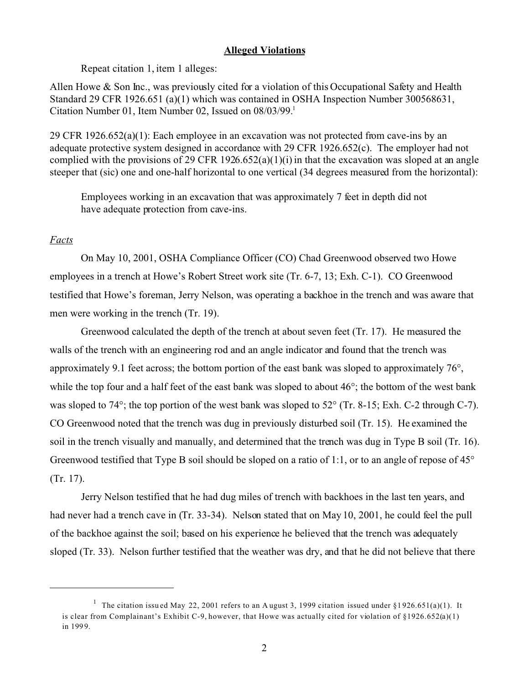# **Alleged Violations**

Repeat citation 1, item 1 alleges:

Allen Howe & Son Inc., was previously cited for a violation of this Occupational Safety and Health Standard 29 CFR 1926.651 (a)(1) which was contained in OSHA Inspection Number 300568631, Citation Number 01, Item Number 02, Issued on 08/03/99.<sup>1</sup>

29 CFR 1926.652(a)(1): Each employee in an excavation was not protected from cave-ins by an adequate protective system designed in accordance with 29 CFR 1926.652(c). The employer had not complied with the provisions of 29 CFR 1926.652(a)(1)(i) in that the excavation was sloped at an angle steeper that (sic) one and one-half horizontal to one vertical (34 degrees measured from the horizontal):

Employees working in an excavation that was approximately 7 feet in depth did not have adequate protection from cave-ins.

# *Facts*

On May 10, 2001, OSHA Compliance Officer (CO) Chad Greenwood observed two Howe employees in a trench at Howe's Robert Street work site (Tr. 6-7, 13; Exh. C-1). CO Greenwood testified that Howe's foreman, Jerry Nelson, was operating a backhoe in the trench and was aware that men were working in the trench (Tr. 19).

Greenwood calculated the depth of the trench at about seven feet (Tr. 17). He measured the walls of the trench with an engineering rod and an angle indicator and found that the trench was approximately 9.1 feet across; the bottom portion of the east bank was sloped to approximately 76°, while the top four and a half feet of the east bank was sloped to about  $46^{\circ}$ ; the bottom of the west bank was sloped to 74°; the top portion of the west bank was sloped to 52° (Tr. 8-15; Exh. C-2 through C-7). CO Greenwood noted that the trench was dug in previously disturbed soil (Tr. 15). He examined the soil in the trench visually and manually, and determined that the trench was dug in Type B soil (Tr. 16). Greenwood testified that Type B soil should be sloped on a ratio of 1:1, or to an angle of repose of 45° (Tr. 17).

Jerry Nelson testified that he had dug miles of trench with backhoes in the last ten years, and had never had a trench cave in (Tr. 33-34). Nelson stated that on May 10, 2001, he could feel the pull of the backhoe against the soil; based on his experience he believed that the trench was adequately sloped (Tr. 33). Nelson further testified that the weather was dry, and that he did not believe that there

<sup>&</sup>lt;sup>1</sup> The citation issued May 22, 2001 refers to an August 3, 1999 citation issued under §1926.651(a)(1). It is clear from Complainant's Exhibit C-9, however, that Howe was actually cited for violation of  $\S 1926.652(a)(1)$ in 199 9.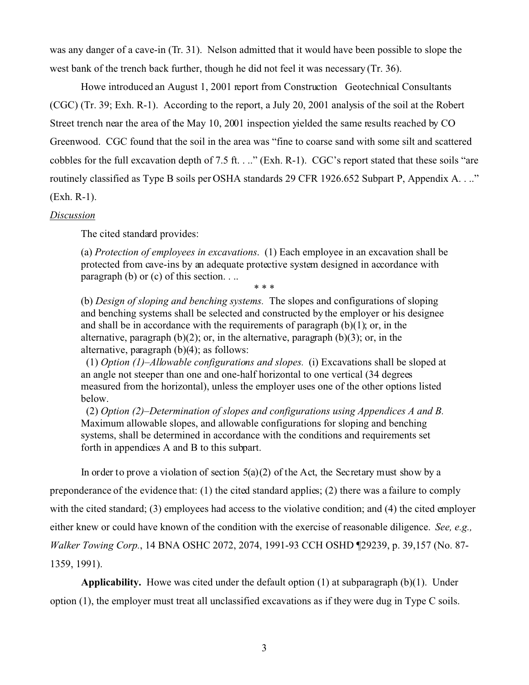was any danger of a cave-in (Tr. 31). Nelson admitted that it would have been possible to slope the west bank of the trench back further, though he did not feel it was necessary (Tr. 36).

Howe introduced an August 1, 2001 report from Construction Geotechnical Consultants (CGC) (Tr. 39; Exh. R-1). According to the report, a July 20, 2001 analysis of the soil at the Robert Street trench near the area of the May 10, 2001 inspection yielded the same results reached by CO Greenwood. CGC found that the soil in the area was "fine to coarse sand with some silt and scattered cobbles for the full excavation depth of 7.5 ft. . .." (Exh. R-1). CGC's report stated that these soils "are routinely classified as Type B soils per OSHA standards 29 CFR 1926.652 Subpart P, Appendix A. . .." (Exh. R-1).

### *Discussion*

The cited standard provides:

(a) *Protection of employees in excavations*. (1) Each employee in an excavation shall be protected from cave-ins by an adequate protective system designed in accordance with paragraph (b) or (c) of this section. . ..

\* \* \*

(b) *Design of sloping and benching systems.* The slopes and configurations of sloping and benching systems shall be selected and constructed by the employer or his designee and shall be in accordance with the requirements of paragraph  $(b)(1)$ ; or, in the alternative, paragraph  $(b)(2)$ ; or, in the alternative, paragraph  $(b)(3)$ ; or, in the alternative, paragraph (b)(4); as follows:

(1) *Option (1)–Allowable configurations and slopes.* (i) Excavations shall be sloped at an angle not steeper than one and one-half horizontal to one vertical (34 degrees measured from the horizontal), unless the employer uses one of the other options listed below.

(2) *Option (2)–Determination of slopes and configurations using Appendices A and B.*  Maximum allowable slopes, and allowable configurations for sloping and benching systems, shall be determined in accordance with the conditions and requirements set forth in appendices A and B to this subpart.

In order to prove a violation of section  $5(a)(2)$  of the Act, the Secretary must show by a preponderance of the evidence that: (1) the cited standard applies; (2) there was a failure to comply with the cited standard; (3) employees had access to the violative condition; and (4) the cited employer either knew or could have known of the condition with the exercise of reasonable diligence. *See, e.g., Walker Towing Corp.*, 14 BNA OSHC 2072, 2074, 1991-93 CCH OSHD ¶29239, p. 39,157 (No. 87- 1359, 1991).

**Applicability.** Howe was cited under the default option (1) at subparagraph (b)(1). Under option (1), the employer must treat all unclassified excavations as if they were dug in Type C soils.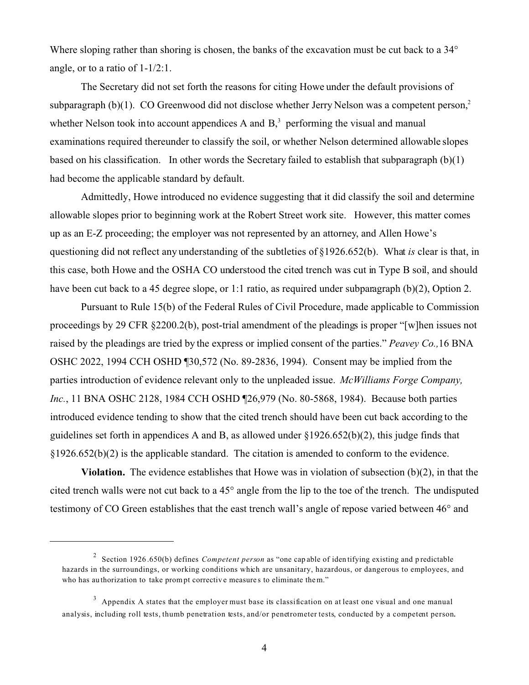Where sloping rather than shoring is chosen, the banks of the excavation must be cut back to a 34<sup>°</sup> angle, or to a ratio of 1-1/2:1.

The Secretary did not set forth the reasons for citing Howe under the default provisions of subparagraph (b)(1). CO Greenwood did not disclose whether Jerry Nelson was a competent person, $2$ whether Nelson took into account appendices A and  $B<sub>3</sub><sup>3</sup>$  performing the visual and manual examinations required thereunder to classify the soil, or whether Nelson determined allowable slopes based on his classification. In other words the Secretary failed to establish that subparagraph (b)(1) had become the applicable standard by default.

Admittedly, Howe introduced no evidence suggesting that it did classify the soil and determine allowable slopes prior to beginning work at the Robert Street work site. However, this matter comes up as an E-Z proceeding; the employer was not represented by an attorney, and Allen Howe's questioning did not reflect any understanding of the subtleties of §1926.652(b). What *is* clear is that, in this case, both Howe and the OSHA CO understood the cited trench was cut in Type B soil, and should have been cut back to a 45 degree slope, or 1:1 ratio, as required under subparagraph (b)(2), Option 2.

Pursuant to Rule 15(b) of the Federal Rules of Civil Procedure, made applicable to Commission proceedings by 29 CFR §2200.2(b), post-trial amendment of the pleadings is proper "[w]hen issues not raised by the pleadings are tried by the express or implied consent of the parties." *Peavey Co.,*16 BNA OSHC 2022, 1994 CCH OSHD ¶30,572 (No. 89-2836, 1994). Consent may be implied from the parties introduction of evidence relevant only to the unpleaded issue. *McWilliams Forge Company, Inc.*, 11 BNA OSHC 2128, 1984 CCH OSHD [26,979 (No. 80-5868, 1984). Because both parties introduced evidence tending to show that the cited trench should have been cut back according to the guidelines set forth in appendices A and B, as allowed under §1926.652(b)(2), this judge finds that §1926.652(b)(2) is the applicable standard. The citation is amended to conform to the evidence.

**Violation.** The evidence establishes that Howe was in violation of subsection (b)(2), in that the cited trench walls were not cut back to a 45° angle from the lip to the toe of the trench. The undisputed testimony of CO Green establishes that the east trench wall's angle of repose varied between 46° and

<sup>2</sup> Section 1926 .650(b) defines *Competent person* as "one cap able of iden tifying existing and p redictable hazards in the surroundings, or working conditions which are unsanitary, hazardous, or dangerous to employees, and who has au thorization to take prompt corrective measures to eliminate them."

 $3$  Appendix A states that the employer must base its classification on at least one visual and one manual analysis, including roll tests, thumb penetration tests, and/or penetrometer tests, conducted by a competent person.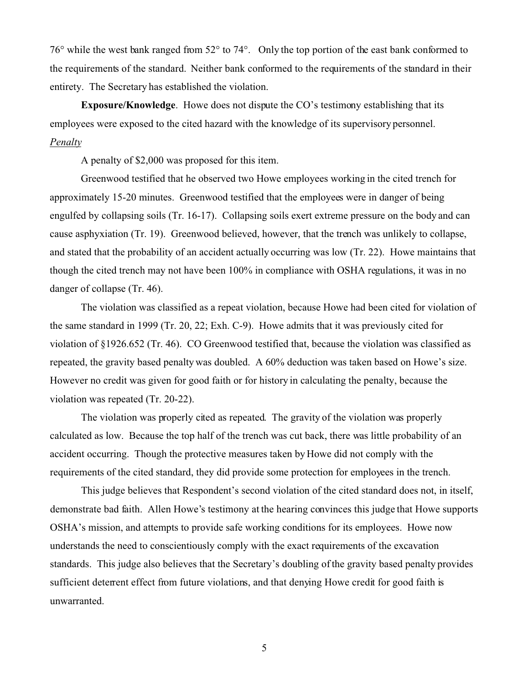76° while the west bank ranged from 52° to 74°. Only the top portion of the east bank conformed to the requirements of the standard. Neither bank conformed to the requirements of the standard in their entirety. The Secretary has established the violation.

**Exposure/Knowledge**. Howe does not dispute the CO's testimony establishing that its employees were exposed to the cited hazard with the knowledge of its supervisory personnel. *Penalty* 

A penalty of \$2,000 was proposed for this item.

Greenwood testified that he observed two Howe employees working in the cited trench for approximately 15-20 minutes. Greenwood testified that the employees were in danger of being engulfed by collapsing soils (Tr. 16-17). Collapsing soils exert extreme pressure on the body and can cause asphyxiation (Tr. 19). Greenwood believed, however, that the trench was unlikely to collapse, and stated that the probability of an accident actually occurring was low (Tr. 22). Howe maintains that though the cited trench may not have been 100% in compliance with OSHA regulations, it was in no danger of collapse (Tr. 46).

The violation was classified as a repeat violation, because Howe had been cited for violation of the same standard in 1999 (Tr. 20, 22; Exh. C-9). Howe admits that it was previously cited for violation of §1926.652 (Tr. 46). CO Greenwood testified that, because the violation was classified as repeated, the gravity based penalty was doubled. A 60% deduction was taken based on Howe's size. However no credit was given for good faith or for history in calculating the penalty, because the violation was repeated (Tr. 20-22).

The violation was properly cited as repeated. The gravity of the violation was properly calculated as low. Because the top half of the trench was cut back, there was little probability of an accident occurring. Though the protective measures taken by Howe did not comply with the requirements of the cited standard, they did provide some protection for employees in the trench.

This judge believes that Respondent's second violation of the cited standard does not, in itself, demonstrate bad faith. Allen Howe's testimony at the hearing convinces this judge that Howe supports OSHA's mission, and attempts to provide safe working conditions for its employees. Howe now understands the need to conscientiously comply with the exact requirements of the excavation standards. This judge also believes that the Secretary's doubling of the gravity based penalty provides sufficient deterrent effect from future violations, and that denying Howe credit for good faith is unwarranted.

5